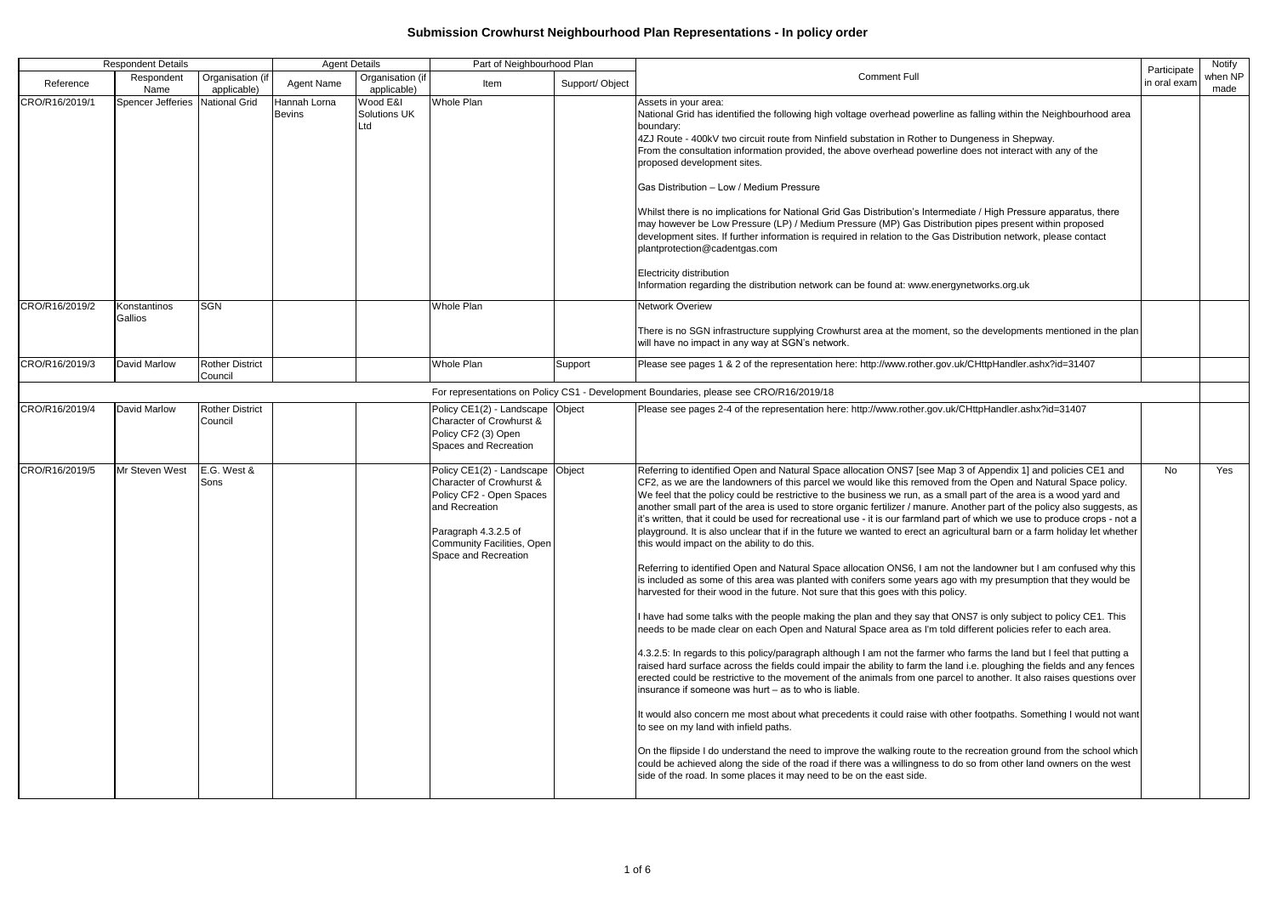| <b>Respondent Details</b> |                                 | <b>Agent Details</b>              |                               | Part of Neighbourhood Plan      |                                                                                                                                                                                   |                | Participate                                                                                                                                                                                                                                                                                                                                                                                                                                                                                                                                                                                                                                                                                                                                                                                                                                                                                                                                                                                                                                                                                                                                                                                                                                                                                                                                                                                                                                                                                                                                                                                                                                                                                                                                                                                                                                                                                                                                                                                                                                                                                                                                                                                                                                                                                        | Notify       |                 |
|---------------------------|---------------------------------|-----------------------------------|-------------------------------|---------------------------------|-----------------------------------------------------------------------------------------------------------------------------------------------------------------------------------|----------------|----------------------------------------------------------------------------------------------------------------------------------------------------------------------------------------------------------------------------------------------------------------------------------------------------------------------------------------------------------------------------------------------------------------------------------------------------------------------------------------------------------------------------------------------------------------------------------------------------------------------------------------------------------------------------------------------------------------------------------------------------------------------------------------------------------------------------------------------------------------------------------------------------------------------------------------------------------------------------------------------------------------------------------------------------------------------------------------------------------------------------------------------------------------------------------------------------------------------------------------------------------------------------------------------------------------------------------------------------------------------------------------------------------------------------------------------------------------------------------------------------------------------------------------------------------------------------------------------------------------------------------------------------------------------------------------------------------------------------------------------------------------------------------------------------------------------------------------------------------------------------------------------------------------------------------------------------------------------------------------------------------------------------------------------------------------------------------------------------------------------------------------------------------------------------------------------------------------------------------------------------------------------------------------------------|--------------|-----------------|
| Reference                 | Respondent<br>Name              | Organisation (if<br>applicable)   | Agent Name                    | Organisation (if<br>applicable) | Item                                                                                                                                                                              | Support/Object | <b>Comment Full</b>                                                                                                                                                                                                                                                                                                                                                                                                                                                                                                                                                                                                                                                                                                                                                                                                                                                                                                                                                                                                                                                                                                                                                                                                                                                                                                                                                                                                                                                                                                                                                                                                                                                                                                                                                                                                                                                                                                                                                                                                                                                                                                                                                                                                                                                                                | in oral exam | when NP<br>made |
| CRO/R16/2019/1            | Spencer Jefferies National Grid |                                   | Hannah Lorna<br><b>Bevins</b> | Wood E&I<br>Solutions UK<br>Ltd | <b>Whole Plan</b>                                                                                                                                                                 |                | Assets in your area:<br>National Grid has identified the following high voltage overhead powerline as falling within the Neighbourhood area<br>boundary:<br>4ZJ Route - 400kV two circuit route from Ninfield substation in Rother to Dungeness in Shepway.<br>From the consultation information provided, the above overhead powerline does not interact with any of the<br>proposed development sites.<br>Gas Distribution - Low / Medium Pressure<br>Whilst there is no implications for National Grid Gas Distribution's Intermediate / High Pressure apparatus, there<br>may however be Low Pressure (LP) / Medium Pressure (MP) Gas Distribution pipes present within proposed<br>development sites. If further information is required in relation to the Gas Distribution network, please contact<br>plantprotection@cadentgas.com<br>Electricity distribution<br>Information regarding the distribution network can be found at: www.energynetworks.org.uk                                                                                                                                                                                                                                                                                                                                                                                                                                                                                                                                                                                                                                                                                                                                                                                                                                                                                                                                                                                                                                                                                                                                                                                                                                                                                                                                |              |                 |
| CRO/R16/2019/2            | Konstantinos<br>Gallios         | <b>SGN</b>                        |                               |                                 | <b>Whole Plan</b>                                                                                                                                                                 |                | Network Overiew<br>There is no SGN infrastructure supplying Crowhurst area at the moment, so the developments mentioned in the plan<br>will have no impact in any way at SGN's network.                                                                                                                                                                                                                                                                                                                                                                                                                                                                                                                                                                                                                                                                                                                                                                                                                                                                                                                                                                                                                                                                                                                                                                                                                                                                                                                                                                                                                                                                                                                                                                                                                                                                                                                                                                                                                                                                                                                                                                                                                                                                                                            |              |                 |
| CRO/R16/2019/3            | David Marlow                    | <b>Rother District</b><br>Council |                               |                                 | <b>Whole Plan</b>                                                                                                                                                                 | Support        | Please see pages 1 & 2 of the representation here: http://www.rother.gov.uk/CHttpHandler.ashx?id=31407                                                                                                                                                                                                                                                                                                                                                                                                                                                                                                                                                                                                                                                                                                                                                                                                                                                                                                                                                                                                                                                                                                                                                                                                                                                                                                                                                                                                                                                                                                                                                                                                                                                                                                                                                                                                                                                                                                                                                                                                                                                                                                                                                                                             |              |                 |
|                           |                                 |                                   |                               |                                 |                                                                                                                                                                                   |                | For representations on Policy CS1 - Development Boundaries, please see CRO/R16/2019/18                                                                                                                                                                                                                                                                                                                                                                                                                                                                                                                                                                                                                                                                                                                                                                                                                                                                                                                                                                                                                                                                                                                                                                                                                                                                                                                                                                                                                                                                                                                                                                                                                                                                                                                                                                                                                                                                                                                                                                                                                                                                                                                                                                                                             |              |                 |
| CRO/R16/2019/4            | <b>David Marlow</b>             | <b>Rother District</b><br>Council |                               |                                 | Policy CE1(2) - Landscape Object<br>Character of Crowhurst &<br>Policy CF2 (3) Open<br>Spaces and Recreation                                                                      |                | Please see pages 2-4 of the representation here: http://www.rother.gov.uk/CHttpHandler.ashx?id=31407                                                                                                                                                                                                                                                                                                                                                                                                                                                                                                                                                                                                                                                                                                                                                                                                                                                                                                                                                                                                                                                                                                                                                                                                                                                                                                                                                                                                                                                                                                                                                                                                                                                                                                                                                                                                                                                                                                                                                                                                                                                                                                                                                                                               |              |                 |
| CRO/R16/2019/5            | Mr Steven West                  | E.G. West &<br>Sons               |                               |                                 | Policy CE1(2) - Landscape<br>Character of Crowhurst &<br>Policy CF2 - Open Spaces<br>and Recreation<br>Paragraph 4.3.2.5 of<br>Community Facilities, Open<br>Space and Recreation | Object         | Referring to identified Open and Natural Space allocation ONS7 [see Map 3 of Appendix 1] and policies CE1 and<br>CF2, as we are the landowners of this parcel we would like this removed from the Open and Natural Space policy.<br>We feel that the policy could be restrictive to the business we run, as a small part of the area is a wood yard and<br>another small part of the area is used to store organic fertilizer / manure. Another part of the policy also suggests, as<br>it's written, that it could be used for recreational use - it is our farmland part of which we use to produce crops - not a<br>playground. It is also unclear that if in the future we wanted to erect an agricultural barn or a farm holiday let whether<br>this would impact on the ability to do this.<br>Referring to identified Open and Natural Space allocation ONS6, I am not the landowner but I am confused why this<br>is included as some of this area was planted with conifers some years ago with my presumption that they would be<br>harvested for their wood in the future. Not sure that this goes with this policy.<br>I have had some talks with the people making the plan and they say that ONS7 is only subject to policy CE1. This<br>needs to be made clear on each Open and Natural Space area as I'm told different policies refer to each area.<br>4.3.2.5: In regards to this policy/paragraph although I am not the farmer who farms the land but I feel that putting a<br>raised hard surface across the fields could impair the ability to farm the land i.e. ploughing the fields and any fences<br>erected could be restrictive to the movement of the animals from one parcel to another. It also raises questions over<br>insurance if someone was hurt – as to who is liable.<br>It would also concern me most about what precedents it could raise with other footpaths. Something I would not want<br>to see on my land with infield paths.<br>On the flipside I do understand the need to improve the walking route to the recreation ground from the school which<br>could be achieved along the side of the road if there was a willingness to do so from other land owners on the west<br>side of the road. In some places it may need to be on the east side. | No.          | Yes             |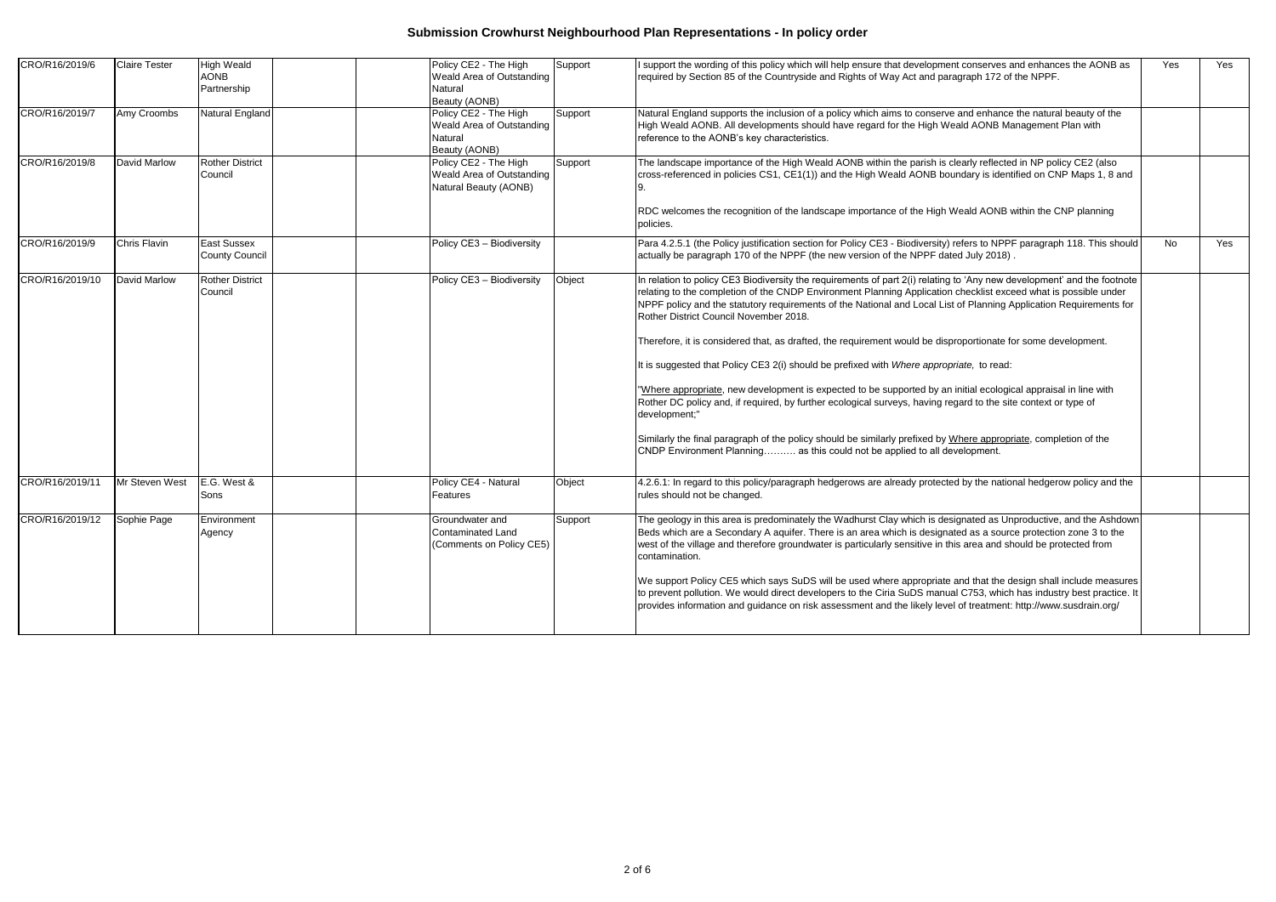| CRO/R16/2019/6  | <b>Claire Tester</b> | <b>High Weald</b><br><b>AONB</b><br>Partnership | Policy CE2 - The High<br>Weald Area of Outstanding<br>Natural<br>Beauty (AONB) | Support | support the wording of this policy which will help ensure that development conserves and enhances the AONB as<br>required by Section 85 of the Countryside and Rights of Way Act and paragraph 172 of the NPPF.                                                                                                                                                                                                                                                                                                                                                                                                       | Yes | Yes |
|-----------------|----------------------|-------------------------------------------------|--------------------------------------------------------------------------------|---------|-----------------------------------------------------------------------------------------------------------------------------------------------------------------------------------------------------------------------------------------------------------------------------------------------------------------------------------------------------------------------------------------------------------------------------------------------------------------------------------------------------------------------------------------------------------------------------------------------------------------------|-----|-----|
| CRO/R16/2019/7  | Amy Croombs          | Natural England                                 | Policy CE2 - The High<br>Weald Area of Outstanding<br>Natural<br>Beauty (AONB) | Support | Natural England supports the inclusion of a policy which aims to conserve and enhance the natural beauty of the<br>High Weald AONB. All developments should have regard for the High Weald AONB Management Plan with<br>reference to the AONB's key characteristics.                                                                                                                                                                                                                                                                                                                                                  |     |     |
| CRO/R16/2019/8  | David Marlow         | <b>Rother District</b><br>Council               | Policy CE2 - The High<br>Weald Area of Outstanding<br>Natural Beauty (AONB)    | Support | The landscape importance of the High Weald AONB within the parish is clearly reflected in NP policy CE2 (also<br>cross-referenced in policies CS1, CE1(1)) and the High Weald AONB boundary is identified on CNP Maps 1, 8 and                                                                                                                                                                                                                                                                                                                                                                                        |     |     |
|                 |                      |                                                 |                                                                                |         | RDC welcomes the recognition of the landscape importance of the High Weald AONB within the CNP planning<br>policies.                                                                                                                                                                                                                                                                                                                                                                                                                                                                                                  |     |     |
| CRO/R16/2019/9  | <b>Chris Flavin</b>  | <b>East Sussex</b><br><b>County Council</b>     | Policy CE3 - Biodiversity                                                      |         | Para 4.2.5.1 (the Policy justification section for Policy CE3 - Biodiversity) refers to NPPF paragraph 118. This should<br>actually be paragraph 170 of the NPPF (the new version of the NPPF dated July 2018).                                                                                                                                                                                                                                                                                                                                                                                                       | No  | Yes |
| CRO/R16/2019/10 | David Marlow         | <b>Rother District</b><br>Council               | Policy CE3 - Biodiversity                                                      | Object  | In relation to policy CE3 Biodiversity the requirements of part 2(i) relating to 'Any new development' and the footnote<br>relating to the completion of the CNDP Environment Planning Application checklist exceed what is possible under<br>NPPF policy and the statutory requirements of the National and Local List of Planning Application Requirements for<br>Rother District Council November 2018.                                                                                                                                                                                                            |     |     |
|                 |                      |                                                 |                                                                                |         | Therefore, it is considered that, as drafted, the requirement would be disproportionate for some development.<br>It is suggested that Policy CE3 2(i) should be prefixed with Where appropriate, to read:                                                                                                                                                                                                                                                                                                                                                                                                             |     |     |
|                 |                      |                                                 |                                                                                |         | Where appropriate, new development is expected to be supported by an initial ecological appraisal in line with<br>Rother DC policy and, if required, by further ecological surveys, having regard to the site context or type of<br>development;"                                                                                                                                                                                                                                                                                                                                                                     |     |     |
|                 |                      |                                                 |                                                                                |         | Similarly the final paragraph of the policy should be similarly prefixed by Where appropriate, completion of the<br>CNDP Environment Planning as this could not be applied to all development.                                                                                                                                                                                                                                                                                                                                                                                                                        |     |     |
| CRO/R16/2019/11 | Mr Steven West       | E.G. West &<br>Sons                             | Policy CE4 - Natural<br>Features                                               | Object  | 4.2.6.1: In regard to this policy/paragraph hedgerows are already protected by the national hedgerow policy and the<br>rules should not be changed.                                                                                                                                                                                                                                                                                                                                                                                                                                                                   |     |     |
| CRO/R16/2019/12 | Sophie Page          | Environment<br>Agency                           | Groundwater and<br><b>Contaminated Land</b><br>(Comments on Policy CE5)        | Support | The geology in this area is predominately the Wadhurst Clay which is designated as Unproductive, and the Ashdown<br>Beds which are a Secondary A aquifer. There is an area which is designated as a source protection zone 3 to the<br>west of the village and therefore groundwater is particularly sensitive in this area and should be protected from<br>contamination.<br>We support Policy CE5 which says SuDS will be used where appropriate and that the design shall include measures<br>to prevent pollution. We would direct developers to the Ciria SuDS manual C753, which has industry best practice. It |     |     |
|                 |                      |                                                 |                                                                                |         | provides information and guidance on risk assessment and the likely level of treatment: http://www.susdrain.org/                                                                                                                                                                                                                                                                                                                                                                                                                                                                                                      |     |     |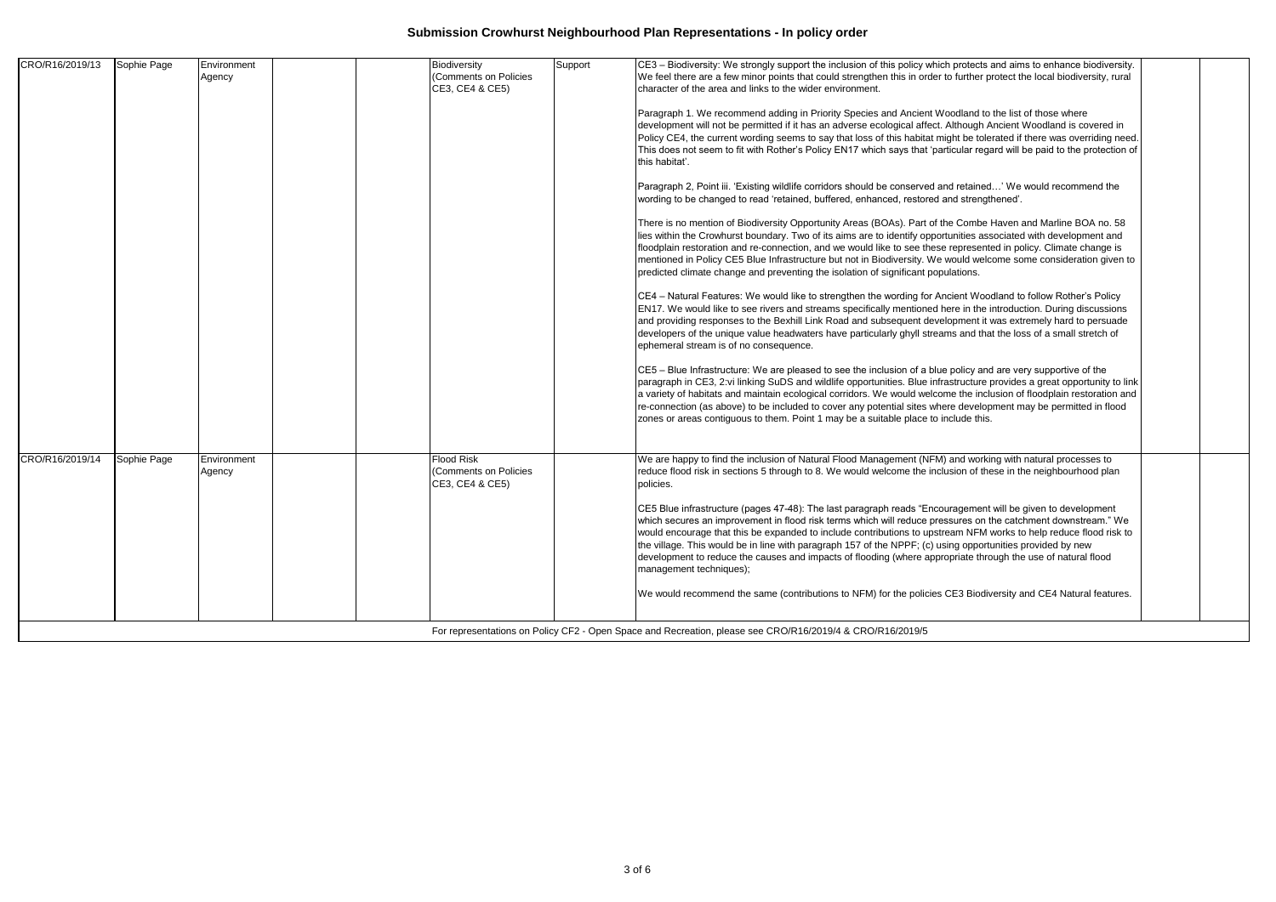| wording to be changed to read 'retained, buffered, enhanced, restored and strengthened'.<br>There is no mention of Biodiversity Opportunity Areas (BOAs). Part of the Combe Haven and Marline BOA no. 58<br>lies within the Crowhurst boundary. Two of its aims are to identify opportunities associated with development and<br>floodplain restoration and re-connection, and we would like to see these represented in policy. Climate change is<br>mentioned in Policy CE5 Blue Infrastructure but not in Biodiversity. We would welcome some consideration given to<br>predicted climate change and preventing the isolation of significant populations.<br>CE4 - Natural Features: We would like to strengthen the wording for Ancient Woodland to follow Rother's Policy<br>EN17. We would like to see rivers and streams specifically mentioned here in the introduction. During discussions<br>and providing responses to the Bexhill Link Road and subsequent development it was extremely hard to persuade<br>developers of the unique value headwaters have particularly ghyll streams and that the loss of a small stretch of<br>ephemeral stream is of no consequence.<br>CE5 – Blue Infrastructure: We are pleased to see the inclusion of a blue policy and are very supportive of the<br>paragraph in CE3, 2:vi linking SuDS and wildlife opportunities. Blue infrastructure provides a great opportunity to link<br>a variety of habitats and maintain ecological corridors. We would welcome the inclusion of floodplain restoration and<br>re-connection (as above) to be included to cover any potential sites where development may be permitted in flood<br>zones or areas contiguous to them. Point 1 may be a suitable place to include this.<br><b>Flood Risk</b><br>We are happy to find the inclusion of Natural Flood Management (NFM) and working with natural processes to<br>CRO/R16/2019/14<br>Sophie Page<br>Environment<br>(Comments on Policies<br>reduce flood risk in sections 5 through to 8. We would welcome the inclusion of these in the neighbourhood plan<br>Agency<br>CE3, CE4 & CE5)<br>policies.<br>CE5 Blue infrastructure (pages 47-48): The last paragraph reads "Encouragement will be given to development<br>which secures an improvement in flood risk terms which will reduce pressures on the catchment downstream." We<br>would encourage that this be expanded to include contributions to upstream NFM works to help reduce flood risk to<br>the village. This would be in line with paragraph 157 of the NPPF; (c) using opportunities provided by new<br>development to reduce the causes and impacts of flooding (where appropriate through the use of natural flood<br>management techniques);<br>We would recommend the same (contributions to NFM) for the policies CE3 Biodiversity and CE4 Natural features. | CRO/R16/2019/13 | Sophie Page | Environment<br>Agency | Biodiversity<br>(Comments on Policies<br>CE3, CE4 & CE5) | Support | CE3 - Biodiversity: We strongly support the inclusion of this policy which protects and aims to enhance biodiversity.<br>We feel there are a few minor points that could strengthen this in order to further protect the local biodiversity, rural<br>character of the area and links to the wider environment.<br>Paragraph 1. We recommend adding in Priority Species and Ancient Woodland to the list of those where<br>development will not be permitted if it has an adverse ecological affect. Although Ancient Woodland is covered in<br>Policy CE4, the current wording seems to say that loss of this habitat might be tolerated if there was overriding need.<br>This does not seem to fit with Rother's Policy EN17 which says that 'particular regard will be paid to the protection of<br>this habitat'.<br>Paragraph 2, Point iii. 'Existing wildlife corridors should be conserved and retained' We would recommend the |  |
|---------------------------------------------------------------------------------------------------------------------------------------------------------------------------------------------------------------------------------------------------------------------------------------------------------------------------------------------------------------------------------------------------------------------------------------------------------------------------------------------------------------------------------------------------------------------------------------------------------------------------------------------------------------------------------------------------------------------------------------------------------------------------------------------------------------------------------------------------------------------------------------------------------------------------------------------------------------------------------------------------------------------------------------------------------------------------------------------------------------------------------------------------------------------------------------------------------------------------------------------------------------------------------------------------------------------------------------------------------------------------------------------------------------------------------------------------------------------------------------------------------------------------------------------------------------------------------------------------------------------------------------------------------------------------------------------------------------------------------------------------------------------------------------------------------------------------------------------------------------------------------------------------------------------------------------------------------------------------------------------------------------------------------------------------------------------------------------------------------------------------------------------------------------------------------------------------------------------------------------------------------------------------------------------------------------------------------------------------------------------------------------------------------------------------------------------------------------------------------------------------------------------------------------------------------------------------------------------------------------------------------------------------------------------------------------------------------------------------------------------------------------------------------------------------------------------------------------------------------------------------------|-----------------|-------------|-----------------------|----------------------------------------------------------|---------|----------------------------------------------------------------------------------------------------------------------------------------------------------------------------------------------------------------------------------------------------------------------------------------------------------------------------------------------------------------------------------------------------------------------------------------------------------------------------------------------------------------------------------------------------------------------------------------------------------------------------------------------------------------------------------------------------------------------------------------------------------------------------------------------------------------------------------------------------------------------------------------------------------------------------------------|--|
|                                                                                                                                                                                                                                                                                                                                                                                                                                                                                                                                                                                                                                                                                                                                                                                                                                                                                                                                                                                                                                                                                                                                                                                                                                                                                                                                                                                                                                                                                                                                                                                                                                                                                                                                                                                                                                                                                                                                                                                                                                                                                                                                                                                                                                                                                                                                                                                                                                                                                                                                                                                                                                                                                                                                                                                                                                                                                 |                 |             |                       |                                                          |         |                                                                                                                                                                                                                                                                                                                                                                                                                                                                                                                                                                                                                                                                                                                                                                                                                                                                                                                                        |  |
|                                                                                                                                                                                                                                                                                                                                                                                                                                                                                                                                                                                                                                                                                                                                                                                                                                                                                                                                                                                                                                                                                                                                                                                                                                                                                                                                                                                                                                                                                                                                                                                                                                                                                                                                                                                                                                                                                                                                                                                                                                                                                                                                                                                                                                                                                                                                                                                                                                                                                                                                                                                                                                                                                                                                                                                                                                                                                 |                 |             |                       |                                                          |         |                                                                                                                                                                                                                                                                                                                                                                                                                                                                                                                                                                                                                                                                                                                                                                                                                                                                                                                                        |  |
|                                                                                                                                                                                                                                                                                                                                                                                                                                                                                                                                                                                                                                                                                                                                                                                                                                                                                                                                                                                                                                                                                                                                                                                                                                                                                                                                                                                                                                                                                                                                                                                                                                                                                                                                                                                                                                                                                                                                                                                                                                                                                                                                                                                                                                                                                                                                                                                                                                                                                                                                                                                                                                                                                                                                                                                                                                                                                 |                 |             |                       |                                                          |         |                                                                                                                                                                                                                                                                                                                                                                                                                                                                                                                                                                                                                                                                                                                                                                                                                                                                                                                                        |  |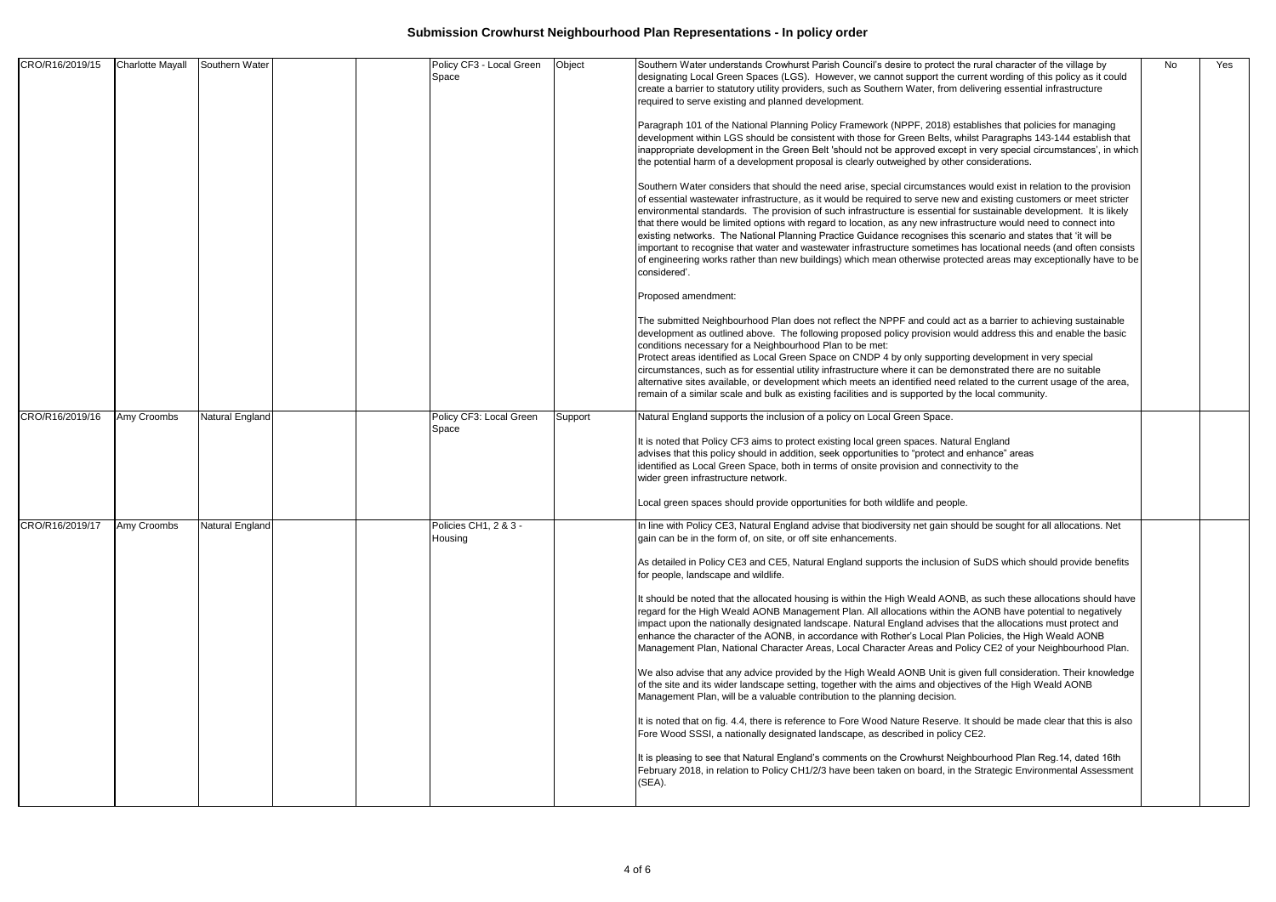| CRO/R16/2019/15 | <b>Charlotte Mayall</b> | Southern Water  | Policy CF3 - Local Green<br>Space       | Object  | Southern Water understands Crowhurst Parish Council's desire to protect the rural character of the village by<br>designating Local Green Spaces (LGS). However, we cannot support the current wording of this policy as it could<br>create a barrier to statutory utility providers, such as Southern Water, from delivering essential infrastructure<br>required to serve existing and planned development.<br>Paragraph 101 of the National Planning Policy Framework (NPPF, 2018) establishes that policies for managing<br>development within LGS should be consistent with those for Green Belts, whilst Paragraphs 143-144 establish that<br>inappropriate development in the Green Belt 'should not be approved except in very special circumstances', in which<br>the potential harm of a development proposal is clearly outweighed by other considerations.<br>Southern Water considers that should the need arise, special circumstances would exist in relation to the provision<br>of essential wastewater infrastructure, as it would be required to serve new and existing customers or meet stricter<br>environmental standards. The provision of such infrastructure is essential for sustainable development. It is likely<br>that there would be limited options with regard to location, as any new infrastructure would need to connect into<br>existing networks. The National Planning Practice Guidance recognises this scenario and states that 'it will be<br>important to recognise that water and wastewater infrastructure sometimes has locational needs (and often consists<br>of engineering works rather than new buildings) which mean otherwise protected areas may exceptionally have to be | No | Yes |
|-----------------|-------------------------|-----------------|-----------------------------------------|---------|---------------------------------------------------------------------------------------------------------------------------------------------------------------------------------------------------------------------------------------------------------------------------------------------------------------------------------------------------------------------------------------------------------------------------------------------------------------------------------------------------------------------------------------------------------------------------------------------------------------------------------------------------------------------------------------------------------------------------------------------------------------------------------------------------------------------------------------------------------------------------------------------------------------------------------------------------------------------------------------------------------------------------------------------------------------------------------------------------------------------------------------------------------------------------------------------------------------------------------------------------------------------------------------------------------------------------------------------------------------------------------------------------------------------------------------------------------------------------------------------------------------------------------------------------------------------------------------------------------------------------------------------------------------------------------------------------------------------------------|----|-----|
|                 |                         |                 |                                         |         | considered'.<br>Proposed amendment:<br>The submitted Neighbourhood Plan does not reflect the NPPF and could act as a barrier to achieving sustainable<br>development as outlined above. The following proposed policy provision would address this and enable the basic<br>conditions necessary for a Neighbourhood Plan to be met:<br>Protect areas identified as Local Green Space on CNDP 4 by only supporting development in very special<br>circumstances, such as for essential utility infrastructure where it can be demonstrated there are no suitable<br>alternative sites available, or development which meets an identified need related to the current usage of the area,<br>remain of a similar scale and bulk as existing facilities and is supported by the local community.                                                                                                                                                                                                                                                                                                                                                                                                                                                                                                                                                                                                                                                                                                                                                                                                                                                                                                                                   |    |     |
| CRO/R16/2019/16 | Amy Croombs             | Natural England | Policy CF3: Local Green<br>Space        | Support | Natural England supports the inclusion of a policy on Local Green Space.<br>It is noted that Policy CF3 aims to protect existing local green spaces. Natural England<br>advises that this policy should in addition, seek opportunities to "protect and enhance" areas<br>identified as Local Green Space, both in terms of onsite provision and connectivity to the<br>wider green infrastructure network.<br>Local green spaces should provide opportunities for both wildlife and people.                                                                                                                                                                                                                                                                                                                                                                                                                                                                                                                                                                                                                                                                                                                                                                                                                                                                                                                                                                                                                                                                                                                                                                                                                                    |    |     |
| CRO/R16/2019/17 | Amy Croombs             | Natural England | Policies CH1, 2 & 3 -<br><b>Housing</b> |         | In line with Policy CE3, Natural England advise that biodiversity net gain should be sought for all allocations. Net<br>gain can be in the form of, on site, or off site enhancements.<br>As detailed in Policy CE3 and CE5, Natural England supports the inclusion of SuDS which should provide benefits<br>for people, landscape and wildlife.<br>It should be noted that the allocated housing is within the High Weald AONB, as such these allocations should have<br>regard for the High Weald AONB Management Plan. All allocations within the AONB have potential to negatively<br>impact upon the nationally designated landscape. Natural England advises that the allocations must protect and<br>enhance the character of the AONB, in accordance with Rother's Local Plan Policies, the High Weald AONB<br>Management Plan, National Character Areas, Local Character Areas and Policy CE2 of your Neighbourhood Plan.<br>We also advise that any advice provided by the High Weald AONB Unit is given full consideration. Their knowledge<br>of the site and its wider landscape setting, together with the aims and objectives of the High Weald AONB<br>Management Plan, will be a valuable contribution to the planning decision.<br>It is noted that on fig. 4.4, there is reference to Fore Wood Nature Reserve. It should be made clear that this is also<br>Fore Wood SSSI, a nationally designated landscape, as described in policy CE2.<br>It is pleasing to see that Natural England's comments on the Crowhurst Neighbourhood Plan Reg.14, dated 16th<br>February 2018, in relation to Policy CH1/2/3 have been taken on board, in the Strategic Environmental Assessment<br>(SEA).                    |    |     |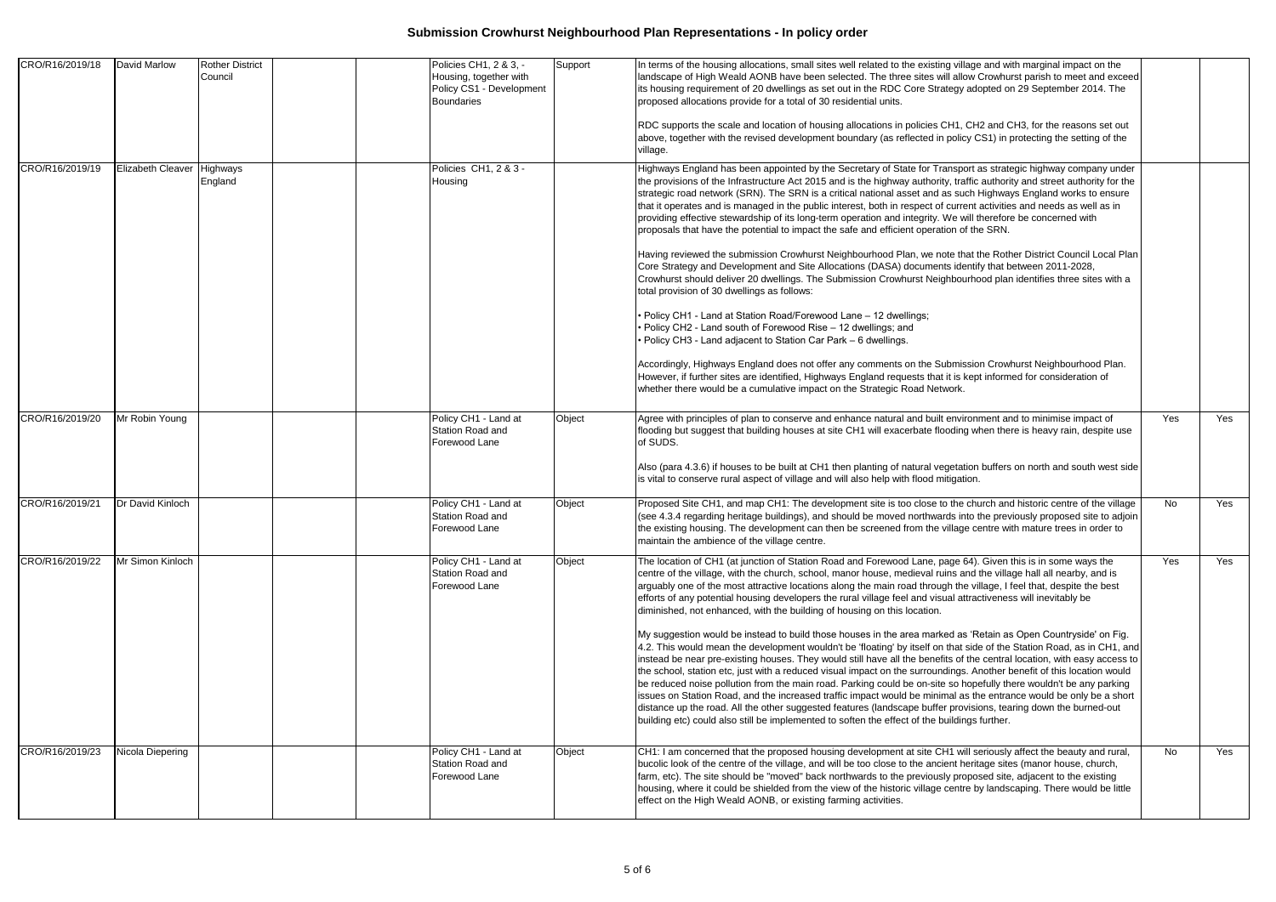| CRO/R16/2019/18 | <b>David Marlow</b>        | <b>Rother District</b><br>Council | Policies CH1, 2 & 3, -<br>Housing, together with<br>Policy CS1 - Development<br>Boundaries | Support | In terms of the housing allocations, small sites well related to the existing village and with marginal impact on the<br>landscape of High Weald AONB have been selected. The three sites will allow Crowhurst parish to meet and exceed<br>its housing requirement of 20 dwellings as set out in the RDC Core Strategy adopted on 29 September 2014. The<br>proposed allocations provide for a total of 30 residential units.<br>RDC supports the scale and location of housing allocations in policies CH1, CH2 and CH3, for the reasons set out<br>above, together with the revised development boundary (as reflected in policy CS1) in protecting the setting of the<br>village.                                                                                                                                                                                                                                                                                                                                                                                                                                                                                                                                                                                                                                                                                                                                                                                                                                                                                                                                         |     |     |
|-----------------|----------------------------|-----------------------------------|--------------------------------------------------------------------------------------------|---------|-------------------------------------------------------------------------------------------------------------------------------------------------------------------------------------------------------------------------------------------------------------------------------------------------------------------------------------------------------------------------------------------------------------------------------------------------------------------------------------------------------------------------------------------------------------------------------------------------------------------------------------------------------------------------------------------------------------------------------------------------------------------------------------------------------------------------------------------------------------------------------------------------------------------------------------------------------------------------------------------------------------------------------------------------------------------------------------------------------------------------------------------------------------------------------------------------------------------------------------------------------------------------------------------------------------------------------------------------------------------------------------------------------------------------------------------------------------------------------------------------------------------------------------------------------------------------------------------------------------------------------|-----|-----|
| CRO/R16/2019/19 | Elizabeth Cleaver Highways | England                           | Policies CH1, 2 & 3 -<br>Housing                                                           |         | Highways England has been appointed by the Secretary of State for Transport as strategic highway company under<br>the provisions of the Infrastructure Act 2015 and is the highway authority, traffic authority and street authority for the<br>strategic road network (SRN). The SRN is a critical national asset and as such Highways England works to ensure<br>that it operates and is managed in the public interest, both in respect of current activities and needs as well as in<br>providing effective stewardship of its long-term operation and integrity. We will therefore be concerned with<br>proposals that have the potential to impact the safe and efficient operation of the SRN.<br>Having reviewed the submission Crowhurst Neighbourhood Plan, we note that the Rother District Council Local Plan<br>Core Strategy and Development and Site Allocations (DASA) documents identify that between 2011-2028,<br>Crowhurst should deliver 20 dwellings. The Submission Crowhurst Neighbourhood plan identifies three sites with a<br>total provision of 30 dwellings as follows:<br>• Policy CH1 - Land at Station Road/Forewood Lane - 12 dwellings;<br>• Policy CH2 - Land south of Forewood Rise - 12 dwellings; and<br>• Policy CH3 - Land adjacent to Station Car Park - 6 dwellings.<br>Accordingly, Highways England does not offer any comments on the Submission Crowhurst Neighbourhood Plan.<br>However, if further sites are identified, Highways England requests that it is kept informed for consideration of<br>whether there would be a cumulative impact on the Strategic Road Network. |     |     |
| CRO/R16/2019/20 | Mr Robin Young             |                                   | Policy CH1 - Land at<br>Station Road and<br>Forewood Lane                                  | Object  | Agree with principles of plan to conserve and enhance natural and built environment and to minimise impact of<br>flooding but suggest that building houses at site CH1 will exacerbate flooding when there is heavy rain, despite use<br>of SUDS.<br>Also (para 4.3.6) if houses to be built at CH1 then planting of natural vegetation buffers on north and south west side<br>is vital to conserve rural aspect of village and will also help with flood mitigation.                                                                                                                                                                                                                                                                                                                                                                                                                                                                                                                                                                                                                                                                                                                                                                                                                                                                                                                                                                                                                                                                                                                                                        | Yes | Yes |
| CRO/R16/2019/21 | Dr David Kinloch           |                                   | Policy CH1 - Land at<br>Station Road and<br>Forewood Lane                                  | Object  | Proposed Site CH1, and map CH1: The development site is too close to the church and historic centre of the village<br>(see 4.3.4 regarding heritage buildings), and should be moved northwards into the previously proposed site to adjoin<br>the existing housing. The development can then be screened from the village centre with mature trees in order to<br>maintain the ambience of the village centre.                                                                                                                                                                                                                                                                                                                                                                                                                                                                                                                                                                                                                                                                                                                                                                                                                                                                                                                                                                                                                                                                                                                                                                                                                | No  | Yes |
| CRO/R16/2019/22 | Mr Simon Kinloch           |                                   | Policy CH1 - Land at<br>Station Road and<br>Forewood Lane                                  | Object  | The location of CH1 (at junction of Station Road and Forewood Lane, page 64). Given this is in some ways the<br>centre of the village, with the church, school, manor house, medieval ruins and the village hall all nearby, and is<br>arguably one of the most attractive locations along the main road through the village, I feel that, despite the best<br>efforts of any potential housing developers the rural village feel and visual attractiveness will inevitably be<br>diminished, not enhanced, with the building of housing on this location.<br>My suggestion would be instead to build those houses in the area marked as 'Retain as Open Countryside' on Fig.<br>4.2. This would mean the development wouldn't be 'floating' by itself on that side of the Station Road, as in CH1, and<br>instead be near pre-existing houses. They would still have all the benefits of the central location, with easy access to<br>the school, station etc, just with a reduced visual impact on the surroundings. Another benefit of this location would<br>be reduced noise pollution from the main road. Parking could be on-site so hopefully there wouldn't be any parking<br>issues on Station Road, and the increased traffic impact would be minimal as the entrance would be only be a short<br>distance up the road. All the other suggested features (landscape buffer provisions, tearing down the burned-out<br>building etc) could also still be implemented to soften the effect of the buildings further.                                                                                                 | Yes | Yes |
| CRO/R16/2019/23 | Nicola Diepering           |                                   | Policy CH1 - Land at<br>Station Road and<br>Forewood Lane                                  | Object  | CH1: I am concerned that the proposed housing development at site CH1 will seriously affect the beauty and rural,<br>bucolic look of the centre of the village, and will be too close to the ancient heritage sites (manor house, church,<br>farm, etc). The site should be "moved" back northwards to the previously proposed site, adjacent to the existing<br>housing, where it could be shielded from the view of the historic village centre by landscaping. There would be little<br>effect on the High Weald AONB, or existing farming activities.                                                                                                                                                                                                                                                                                                                                                                                                                                                                                                                                                                                                                                                                                                                                                                                                                                                                                                                                                                                                                                                                     | No  | Yes |